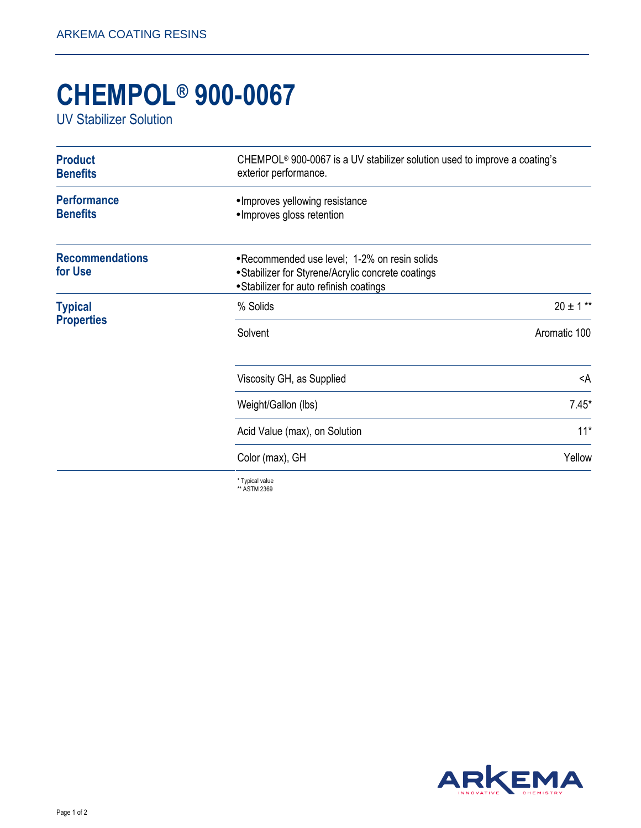## **CHEMPOL® 900-0067**

UV Stabilizer Solution

| <b>Product</b><br><b>Benefits</b>     | CHEMPOL <sup>®</sup> 900-0067 is a UV stabilizer solution used to improve a coating's<br>exterior performance.                                 |                 |
|---------------------------------------|------------------------------------------------------------------------------------------------------------------------------------------------|-----------------|
| <b>Performance</b><br><b>Benefits</b> | • Improves yellowing resistance<br>• Improves gloss retention                                                                                  |                 |
| <b>Recommendations</b><br>for Use     | • Recommended use level; 1-2% on resin solids<br>• Stabilizer for Styrene/Acrylic concrete coatings<br>• Stabilizer for auto refinish coatings |                 |
| <b>Typical</b><br><b>Properties</b>   | % Solids                                                                                                                                       | $20 \pm 1$ **   |
|                                       | Solvent                                                                                                                                        | Aromatic 100    |
|                                       | Viscosity GH, as Supplied                                                                                                                      | <a< td=""></a<> |
|                                       | Weight/Gallon (lbs)                                                                                                                            | $7.45*$         |
|                                       | Acid Value (max), on Solution                                                                                                                  | $11*$           |
|                                       | Color (max), GH                                                                                                                                | Yellow          |
|                                       | * Typical value                                                                                                                                |                 |

\* Typical value \*\* ASTM 2369